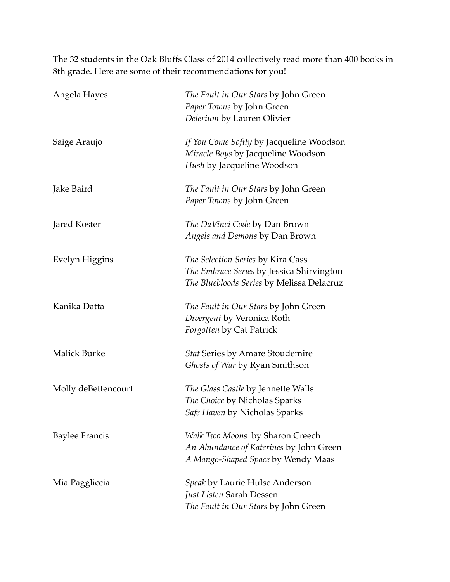The 32 students in the Oak Bluffs Class of 2014 collectively read more than 400 books in 8th grade. Here are some of their recommendations for you!

| Angela Hayes          | The Fault in Our Stars by John Green<br><i>Paper Towns</i> by John Green<br>Delerium by Lauren Olivier                      |
|-----------------------|-----------------------------------------------------------------------------------------------------------------------------|
| Saige Araujo          | If You Come Softly by Jacqueline Woodson<br>Miracle Boys by Jacqueline Woodson<br>Hush by Jacqueline Woodson                |
| Jake Baird            | The Fault in Our Stars by John Green<br><i>Paper Towns</i> by John Green                                                    |
| Jared Koster          | <i>The DaVinci Code</i> by Dan Brown<br>Angels and Demons by Dan Brown                                                      |
| Evelyn Higgins        | The Selection Series by Kira Cass<br>The Embrace Series by Jessica Shirvington<br>The Bluebloods Series by Melissa Delacruz |
| Kanika Datta          | The Fault in Our Stars by John Green<br>Divergent by Veronica Roth<br>Forgotten by Cat Patrick                              |
| <b>Malick Burke</b>   | <b>Stat Series by Amare Stoudemire</b><br><i>Ghosts of War by Ryan Smithson</i>                                             |
| Molly deBettencourt   | The Glass Castle by Jennette Walls<br>The Choice by Nicholas Sparks<br>Safe Haven by Nicholas Sparks                        |
| <b>Baylee Francis</b> | Walk Two Moons by Sharon Creech<br>An Abundance of Katerines by John Green<br>A Mango-Shaped Space by Wendy Maas            |
| Mia Paggliccia        | <i>Speak</i> by Laurie Hulse Anderson<br>Just Listen Sarah Dessen<br>The Fault in Our Stars by John Green                   |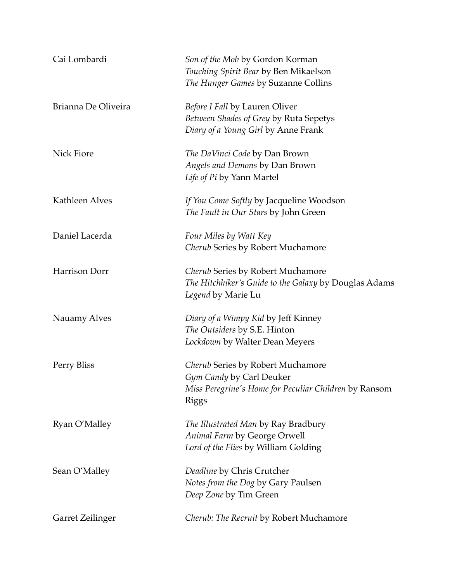| Cai Lombardi            | Son of the Mob by Gordon Korman<br>Touching Spirit Bear by Ben Mikaelson<br>The Hunger Games by Suzanne Collins                        |
|-------------------------|----------------------------------------------------------------------------------------------------------------------------------------|
| Brianna De Oliveira     | <b>Before I Fall by Lauren Oliver</b><br>Between Shades of Grey by Ruta Sepetys<br>Diary of a Young Girl by Anne Frank                 |
| <b>Nick Fiore</b>       | <i>The DaVinci Code</i> by Dan Brown<br>Angels and Demons by Dan Brown<br>Life of Pi by Yann Martel                                    |
| Kathleen Alves          | If You Come Softly by Jacqueline Woodson<br>The Fault in Our Stars by John Green                                                       |
| Daniel Lacerda          | Four Miles by Watt Key<br>Cherub Series by Robert Muchamore                                                                            |
| Harrison Dorr           | Cherub Series by Robert Muchamore<br>The Hitchhiker's Guide to the Galaxy by Douglas Adams<br>Legend by Marie Lu                       |
| Nauamy Alves            | Diary of a Wimpy Kid by Jeff Kinney<br>The Outsiders by S.E. Hinton<br>Lockdown by Walter Dean Meyers                                  |
| Perry Bliss             | Cherub Series by Robert Muchamore<br>Gym Candy by Carl Deuker<br>Miss Peregrine's Home for Peculiar Children by Ransom<br><b>Riggs</b> |
| Ryan O'Malley           | <i>The Illustrated Man by Ray Bradbury</i><br>Animal Farm by George Orwell<br>Lord of the Flies by William Golding                     |
| Sean O'Malley           | Deadline by Chris Crutcher<br>Notes from the Dog by Gary Paulsen<br>Deep Zone by Tim Green                                             |
| <b>Garret Zeilinger</b> | Cherub: The Recruit by Robert Muchamore                                                                                                |